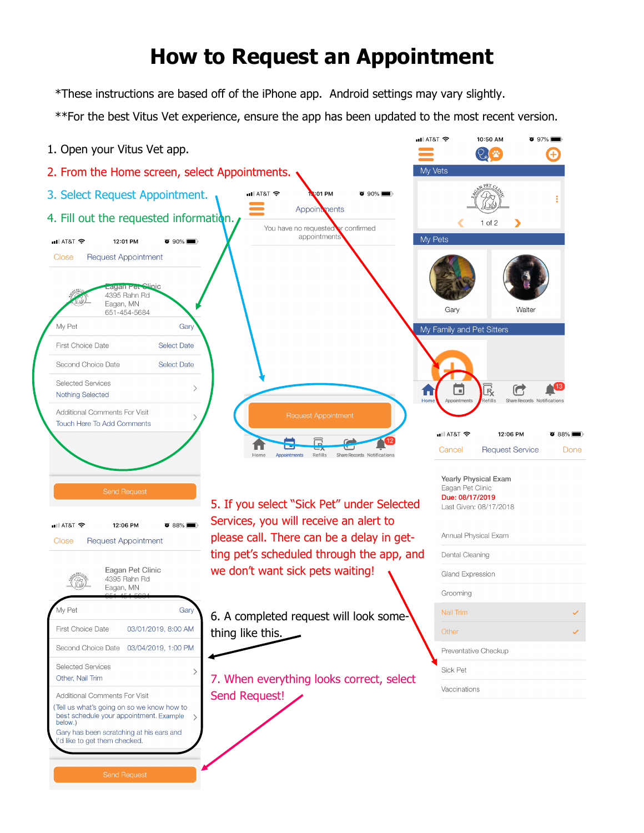## **How to Request an Appointment**

\*These instructions are based off of the iPhone app. Android settings may vary slightly.

\*\*For the best Vitus Vet experience, ensure the app has been updated to the most recent version.